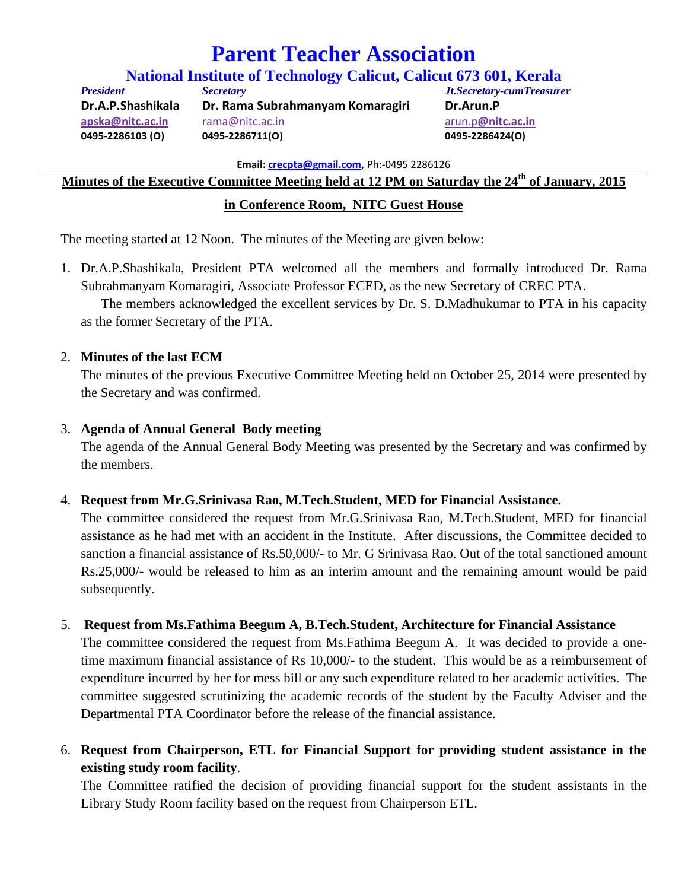# **Parent Teacher Association**

**National Institute of Technology Calicut, Calicut 673 601, Kerala** *President Secretary Jt.Secretary-cumTreasure***r** 

**Dr.A.P.Shashikala Dr. Rama Subrahmanyam Komaragiri Dr.Arun.P apska@nitc.ac.in** rama@nitc.ac.in arun.p**@nitc.ac.in 0495‐2286103 (O) 0495‐2286711(O) 0495‐2286424(O)** 

**Email: crecpta@gmail.com**, Ph:‐0495 2286126

**Minutes of the Executive Committee Meeting held at 12 PM on Saturday the 24th of January, 2015** 

## **in Conference Room, NITC Guest House**

The meeting started at 12 Noon. The minutes of the Meeting are given below:

1. Dr.A.P.Shashikala, President PTA welcomed all the members and formally introduced Dr. Rama Subrahmanyam Komaragiri, Associate Professor ECED, as the new Secretary of CREC PTA.

 The members acknowledged the excellent services by Dr. S. D.Madhukumar to PTA in his capacity as the former Secretary of the PTA.

## 2. **Minutes of the last ECM**

The minutes of the previous Executive Committee Meeting held on October 25, 2014 were presented by the Secretary and was confirmed.

## 3. **Agenda of Annual General Body meeting**

The agenda of the Annual General Body Meeting was presented by the Secretary and was confirmed by the members.

## 4. **Request from Mr.G.Srinivasa Rao, M.Tech.Student, MED for Financial Assistance.**

The committee considered the request from Mr.G.Srinivasa Rao, M.Tech.Student, MED for financial assistance as he had met with an accident in the Institute. After discussions, the Committee decided to sanction a financial assistance of Rs.50,000/- to Mr. G Srinivasa Rao. Out of the total sanctioned amount Rs.25,000/- would be released to him as an interim amount and the remaining amount would be paid subsequently.

## 5. **Request from Ms.Fathima Beegum A, B.Tech.Student, Architecture for Financial Assistance**

The committee considered the request from Ms.Fathima Beegum A. It was decided to provide a onetime maximum financial assistance of Rs 10,000/- to the student. This would be as a reimbursement of expenditure incurred by her for mess bill or any such expenditure related to her academic activities. The committee suggested scrutinizing the academic records of the student by the Faculty Adviser and the Departmental PTA Coordinator before the release of the financial assistance.

6. **Request from Chairperson, ETL for Financial Support for providing student assistance in the existing study room facility**.

The Committee ratified the decision of providing financial support for the student assistants in the Library Study Room facility based on the request from Chairperson ETL.